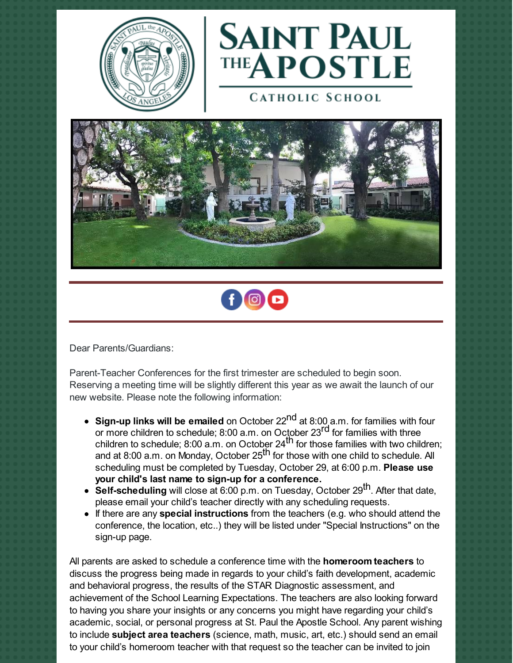



**CATHOLIC SCHOOL** 





Dear Parents/Guardians:

Parent-Teacher Conferences for the first trimester are scheduled to begin soon. Reserving a meeting time will be slightly different this year as we await the launch of our new website. Please note the following information:

- **Sign-up links will be emailed** on October 22 nd at 8:00 a.m. for families with four or more children to schedule; 8:00 a.m. on October 23<sup>rd</sup> for families with three children to schedule; 8:00 a.m. on October 24<sup>th</sup> for those families with two children; and at 8:00 a.m. on Monday, October 25<sup>th</sup> for those with one child to schedule. All scheduling must be completed by Tuesday, October 29, at 6:00 p.m. **Please use your child's last name to sign-up for a conference.**
- **Self-scheduling** will close at 6:00 p.m. on Tuesday, October 29<sup>th</sup>. After that date, please email your child's teacher directly with any scheduling requests.
- If there are any **special instructions** from the teachers (e.g. who should attend the conference, the location, etc..) they will be listed under "Special Instructions" on the sign-up page.

All parents are asked to schedule a conference time with the **homeroom teachers** to discuss the progress being made in regards to your child's faith development, academic and behavioral progress, the results of the STAR Diagnostic assessment, and achievement of the School Learning Expectations. The teachers are also looking forward to having you share your insights or any concerns you might have regarding your child's academic, social, or personal progress at St. Paul the Apostle School. Any parent wishing to include **subject area teachers** (science, math, music, art, etc.) should send an email to your child's homeroom teacher with that request so the teacher can be invited to join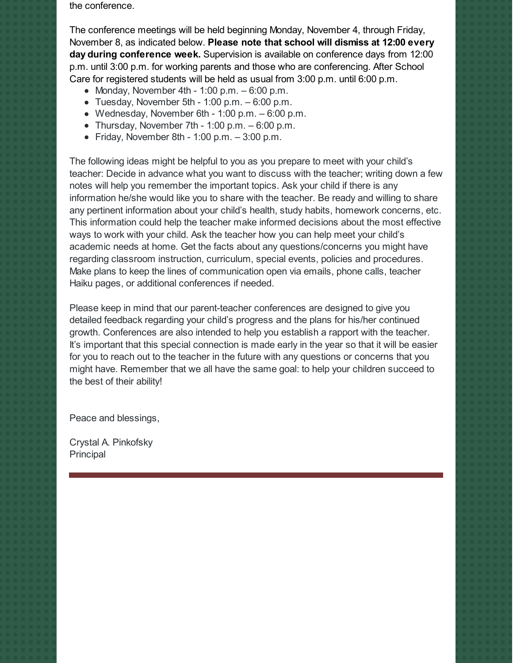the conference.

The conference meetings will be held beginning Monday, November 4, through Friday, November 8, as indicated below. **Please note that school will dismiss at 12:00 every day during conference week.** Supervision is available on conference days from 12:00 p.m. until 3:00 p.m. for working parents and those who are conferencing. After School Care for registered students will be held as usual from 3:00 p.m. until 6:00 p.m.

- Monday, November 4th 1:00 p.m.  $-6:00$  p.m.
- $\bullet$  Tuesday, November 5th 1:00 p.m.  $-6:00$  p.m.
- Wednesday, November 6th 1:00 p.m.  $-6:00$  p.m.
- Thursday, November 7th 1:00 p.m.  $-6:00$  p.m.
- Friday, November 8th 1:00 p.m.  $-3:00$  p.m.

The following ideas might be helpful to you as you prepare to meet with your child's teacher: Decide in advance what you want to discuss with the teacher; writing down a few notes will help you remember the important topics. Ask your child if there is any information he/she would like you to share with the teacher. Be ready and willing to share any pertinent information about your child's health, study habits, homework concerns, etc. This information could help the teacher make informed decisions about the most effective ways to work with your child. Ask the teacher how you can help meet your child's academic needs at home. Get the facts about any questions/concerns you might have regarding classroom instruction, curriculum, special events, policies and procedures. Make plans to keep the lines of communication open via emails, phone calls, teacher Haiku pages, or additional conferences if needed.

Please keep in mind that our parent-teacher conferences are designed to give you detailed feedback regarding your child's progress and the plans for his/her continued growth. Conferences are also intended to help you establish a rapport with the teacher. It's important that this special connection is made early in the year so that it will be easier for you to reach out to the teacher in the future with any questions or concerns that you might have. Remember that we all have the same goal: to help your children succeed to the best of their ability!

Peace and blessings,

Crystal A. Pinkofsky **Principal**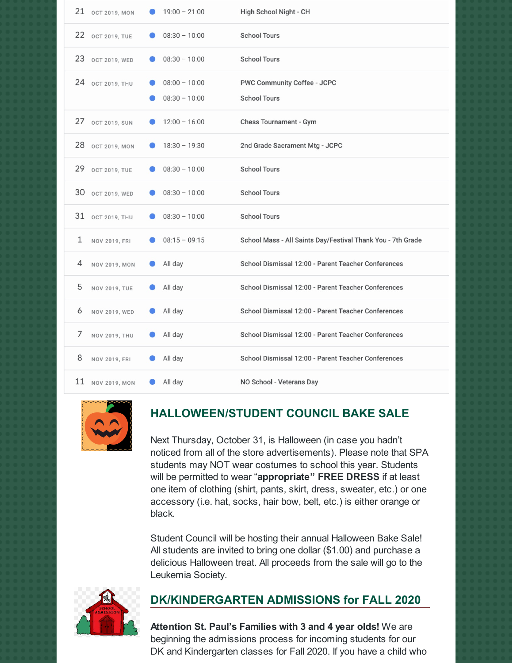|    | 21 OCT 2019, MON     | $19:00 - 21:00$                    | High School Night - CH                                      |
|----|----------------------|------------------------------------|-------------------------------------------------------------|
|    | 22 OCT 2019, TUE     | $08:30 - 10:00$                    | <b>School Tours</b>                                         |
|    | 23 OCT 2019, WED     | $08:30 - 10:00$                    | <b>School Tours</b>                                         |
| 24 | <b>OCT 2019, THU</b> | $08:00 - 10:00$<br>$08:30 - 10:00$ | PWC Community Coffee - JCPC<br><b>School Tours</b>          |
| 27 | <b>OCT 2019, SUN</b> | $12:00 - 16:00$                    | <b>Chess Tournament - Gym</b>                               |
|    | 28 OCT 2019, MON     | $18:30 - 19:30$                    | 2nd Grade Sacrament Mtg - JCPC                              |
| 29 | <b>OCT 2019, TUE</b> | $08:30 - 10:00$                    | <b>School Tours</b>                                         |
|    | 30 OCT 2019, WED     | $08:30 - 10:00$                    | <b>School Tours</b>                                         |
|    | 31 ост 2019, ТНИ     | $08:30 - 10:00$                    | <b>School Tours</b>                                         |
| 1  | NOV 2019, FRI        | $08:15 - 09:15$                    | School Mass - All Saints Day/Festival Thank You - 7th Grade |
| 4  | <b>NOV 2019, MON</b> | All day                            | School Dismissal 12:00 - Parent Teacher Conferences         |
| 5  | <b>NOV 2019, TUE</b> | All day                            | School Dismissal 12:00 - Parent Teacher Conferences         |
| 6  | NOV 2019, WED        | All day                            | School Dismissal 12:00 - Parent Teacher Conferences         |
| 7  | NOV 2019, THU        | All day                            | School Dismissal 12:00 - Parent Teacher Conferences         |
| 8  | NOV 2019, FRI        | All day                            | School Dismissal 12:00 - Parent Teacher Conferences         |
|    | 11 NOV 2019, MON     | All day                            | NO School - Veterans Day                                    |



## **HALLOWEEN/STUDENT COUNCIL BAKE SALE**

Next Thursday, October 31, is Halloween (in case you hadn't noticed from all of the store advertisements). Please note that SPA students may NOT wear costumes to school this year. Students will be permitted to wear "**appropriate" FREE DRESS** if at least one item of clothing (shirt, pants, skirt, dress, sweater, etc.) or one accessory (i.e. hat, socks, hair bow, belt, etc.) is either orange or black.

Student Council will be hosting their annual Halloween Bake Sale! All students are invited to bring one dollar (\$1.00) and purchase a delicious Halloween treat. All proceeds from the sale will go to the Leukemia Society.



## **DK/KINDERGARTEN ADMISSIONS for FALL 2020**

**Attention St. Paul's Families with 3 and 4 year olds!** We are beginning the admissions process for incoming students for our DK and Kindergarten classes for Fall 2020. If you have a child who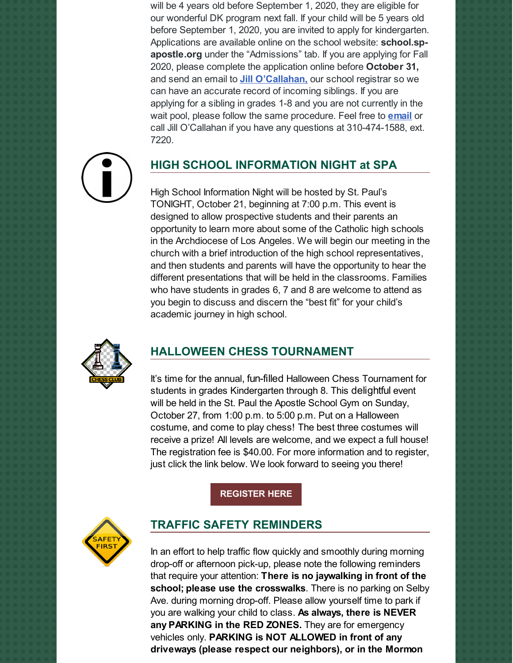will be 4 years old before September 1, 2020, they are eligible for our wonderful DK program next fall. If your child will be 5 years old before September 1, 2020, you are invited to apply for kindergarten. Applications are available online on the school website: **school.spapostle.org** under the "Admissions" tab. If you are applying for Fall 2020, please complete the application online before **October 31,** and send an email to **Jill [O'Callahan,](mailto:jocallahan@sp-apostle.org)** our school registrar so we can have an accurate record of incoming siblings. If you are applying for a sibling in grades 1-8 and you are not currently in the wait pool, please follow the same procedure. Feel free to **[email](mailto:jocallahan@sp-apostle.org)** or call Jill O'Callahan if you have any questions at 310-474-1588, ext. 7220.



# **HIGH SCHOOL INFORMATION NIGHT at SPA**

High School Information Night will be hosted by St. Paul's TONIGHT, October 21, beginning at 7:00 p.m. This event is designed to allow prospective students and their parents an opportunity to learn more about some of the Catholic high schools in the Archdiocese of Los Angeles. We will begin our meeting in the church with a brief introduction of the high school representatives, and then students and parents will have the opportunity to hear the different presentations that will be held in the classrooms. Families who have students in grades 6, 7 and 8 are welcome to attend as you begin to discuss and discern the "best fit" for your child's academic journey in high school.



## **HALLOWEEN CHESS TOURNAMENT**

It's time for the annual, fun-filled Halloween Chess Tournament for students in grades Kindergarten through 8. This delightful event will be held in the St. Paul the Apostle School Gym on Sunday, October 27, from 1:00 p.m. to 5:00 p.m. Put on a Halloween costume, and come to play chess! The best three costumes will receive a prize! All levels are welcome, and we expect a full house! The registration fee is \$40.00. For more information and to register, just click the link below. We look forward to seeing you there!

#### **[REGISTER](https://chess4successla.com/halloween-chess-tournament/?key=0c0be3bf19) HERE**



### **TRAFFIC SAFETY REMINDERS**

In an effort to help traffic flow quickly and smoothly during morning drop-off or afternoon pick-up, please note the following reminders that require your attention: **There is no jaywalking in front of the school; please use the crosswalks**. There is no parking on Selby Ave. during morning drop-off. Please allow yourself time to park if you are walking your child to class. **As always, there is NEVER any PARKING in the RED ZONES.** They are for emergency vehicles only. **PARKING is NOT ALLOWED in front of any driveways (please respect our neighbors), or in the Mormon**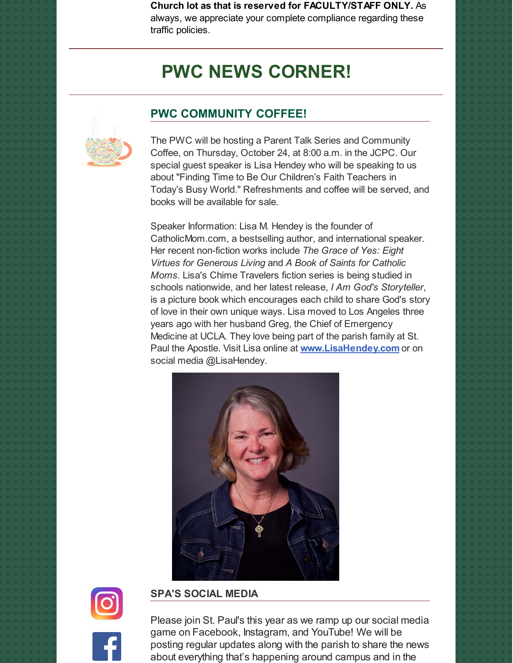**Church lot as that is reserved for FACULTY/STAFF ONLY.** As always, we appreciate your complete compliance regarding these traffic policies.

# **PWC NEWS CORNER!**

## **PWC COMMUNITY COFFEE!**



The PWC will be hosting a Parent Talk Series and Community Coffee, on Thursday, October 24, at 8:00 a.m. in the JCPC. Our special guest speaker is Lisa Hendey who will be speaking to us about "Finding Time to Be Our Children's Faith Teachers in Today's Busy World." Refreshments and coffee will be served, and books will be available for sale.

Speaker Information: Lisa M. Hendey is the founder of CatholicMom.com, a bestselling author, and international speaker. Her recent non-fiction works include *The Grace of Yes: Eight Virtues for Generous Living* and *A Book of Saints for Catholic Moms.* Lisa's Chime Travelers fiction series is being studied in schools nationwide, and her latest release, *I Am God's Storyteller*, is a picture book which encourages each child to share God's story of love in their own unique ways. Lisa moved to Los Angeles three years ago with her husband Greg, the Chief of Emergency Medicine at UCLA. They love being part of the parish family at St. Paul the Apostle. Visit Lisa online at **[www.LisaHendey.com](http://www.lisahendey.com)** or on social media @LisaHendey.





#### **SPA'S SOCIAL MEDIA**

Please join St. Paul's this year as we ramp up our social media game on Facebook, Instagram, and YouTube! We will be posting regular updates along with the parish to share the news about everything that's happening around campus and in the